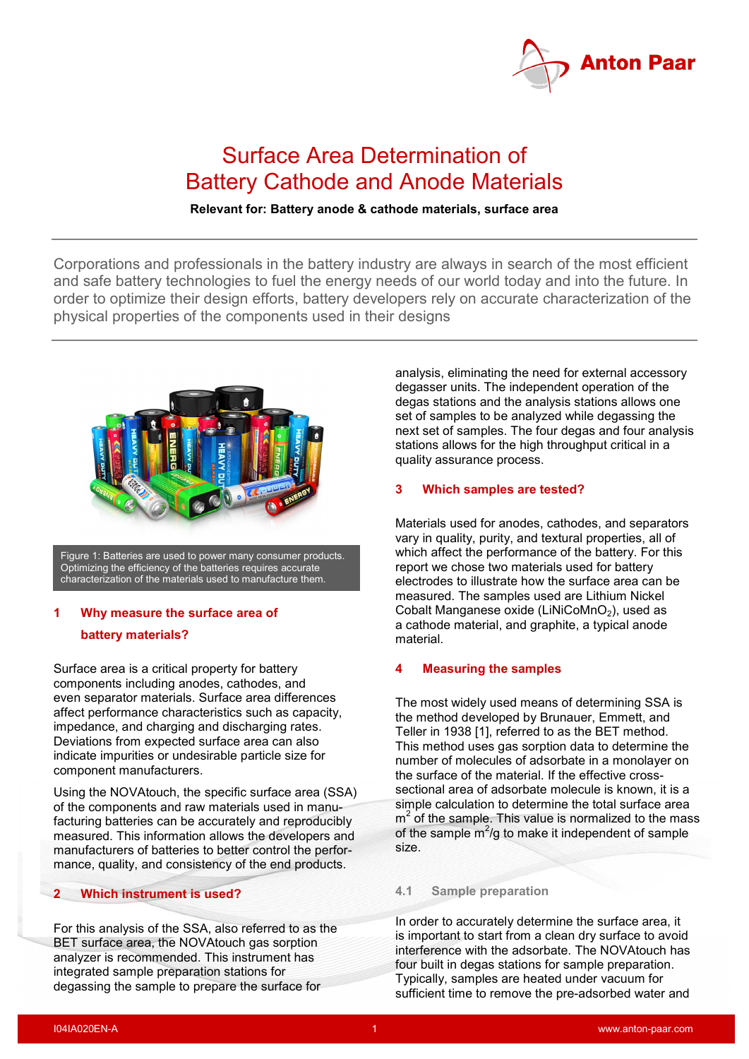

# Surface Area Determination of Battery Cathode and Anode Materials

## **Relevant for: Battery anode & cathode materials, surface area**

Corporations and professionals in the battery industry are always in search of the most efficient and safe battery technologies to fuel the energy needs of our world today and into the future. In order to optimize their design efforts, battery developers rely on accurate characterization of the physical properties of the components used in their designs



Figure 1: Batteries are used to power many consumer products. Optimizing the efficiency of the batteries requires accurate characterization of the materials used to manufacture them.

# **1 Why measure the surface area of battery materials?**

Surface area is a critical property for battery components including anodes, cathodes, and even separator materials. Surface area differences affect performance characteristics such as capacity, impedance, and charging and discharging rates. Deviations from expected surface area can also indicate impurities or undesirable particle size for component manufacturers.

Using the NOVAtouch, the specific surface area (SSA) of the components and raw materials used in manufacturing batteries can be accurately and reproducibly measured. This information allows the developers and manufacturers of batteries to better control the performance, quality, and consistency of the end products.

## **2 Which instrument is used?**

For this analysis of the SSA, also referred to as the BET surface area, the NOVAtouch gas sorption analyzer is recommended. This instrument has integrated sample preparation stations for degassing the sample to prepare the surface for

analysis, eliminating the need for external accessory degasser units. The independent operation of the degas stations and the analysis stations allows one set of samples to be analyzed while degassing the next set of samples. The four degas and four analysis stations allows for the high throughput critical in a quality assurance process.

#### **3 Which samples are tested?**

Materials used for anodes, cathodes, and separators vary in quality, purity, and textural properties, all of which affect the performance of the battery. For this report we chose two materials used for battery electrodes to illustrate how the surface area can be measured. The samples used are Lithium Nickel Cobalt Manganese oxide (LiNiCoMnO<sub>2</sub>), used as a cathode material, and graphite, a typical anode material.

#### **4 Measuring the samples**

The most widely used means of determining SSA is the method developed by Brunauer, Emmett, and Teller in 1938 [\[1\]](#page-3-0), referred to as the BET method. This method uses gas sorption data to determine the number of molecules of adsorbate in a monolayer on the surface of the material. If the effective crosssectional area of adsorbate molecule is known, it is a simple calculation to determine the total surface area  $m<sup>2</sup>$  of the sample. This value is normalized to the mass of the sample  $m^2$ /g to make it independent of sample size.

#### **4.1 Sample preparation**

In order to accurately determine the surface area, it is important to start from a clean dry surface to avoid interference with the adsorbate. The NOVAtouch has four built in degas stations for sample preparation. Typically, samples are heated under vacuum for sufficient time to remove the pre-adsorbed water and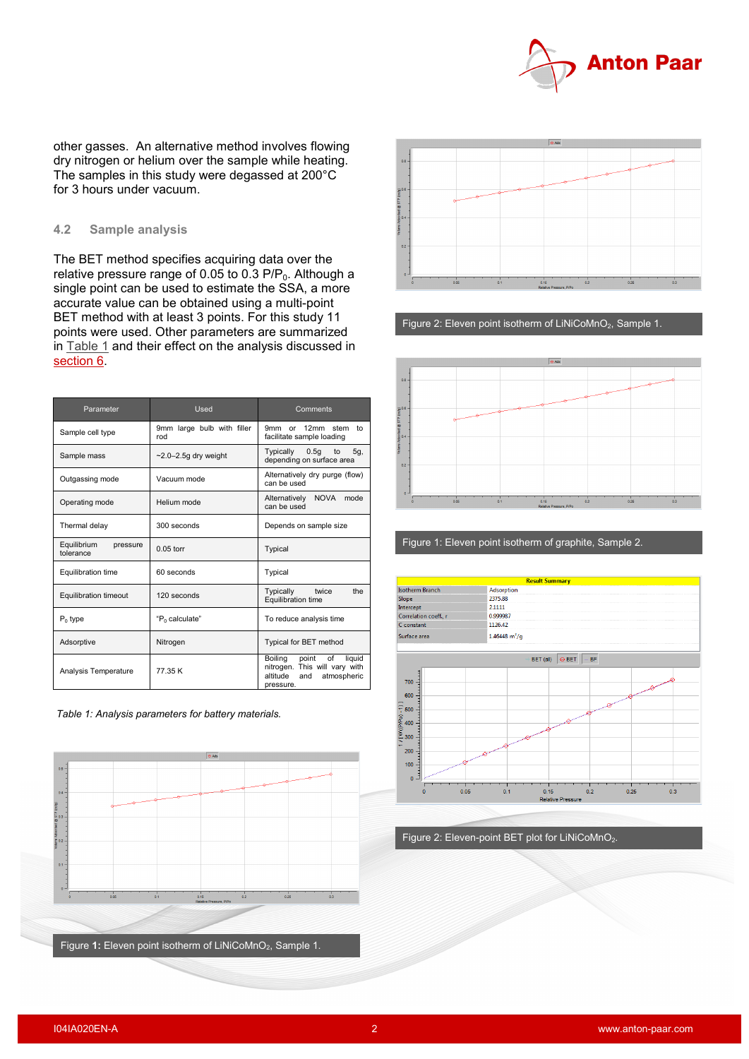

other gasses. An alternative method involves flowing dry nitrogen or helium over the sample while heating. The samples in this study were degassed at 200°C for 3 hours under vacuum.

## **4.2 Sample analysis**

The BET method specifies acquiring data over the relative pressure range of 0.05 to 0.3  $P/P_0$ . Although a single point can be used to estimate the SSA, a more accurate value can be obtained using a multi-point BET method with at least 3 points. For this study 11 points were used. Other parameters are summarized in [Table 1](#page-1-0) and their effect on the analysis discussed in [section 6.](#page-2-0)

| Parameter                            | Used                              | Comments                                                                                                         |  |
|--------------------------------------|-----------------------------------|------------------------------------------------------------------------------------------------------------------|--|
| Sample cell type                     | 9mm large bulb with filler<br>rod | 9mm or<br>12mm stem<br>to<br>facilitate sample loading                                                           |  |
| Sample mass                          | $-2.0-2.5q$ dry weight            | Typically<br>$0.5q$ to<br>5g,<br>depending on surface area                                                       |  |
| Outgassing mode                      | Vacuum mode                       | Alternatively dry purge (flow)<br>can be used                                                                    |  |
| Operating mode                       | Helium mode                       | <b>NOVA</b><br>Alternatively<br>mode<br>can be used                                                              |  |
| Thermal delay                        | 300 seconds                       | Depends on sample size                                                                                           |  |
| Equilibrium<br>pressure<br>tolerance | $0.05$ torr                       | Typical                                                                                                          |  |
| <b>Equilibration time</b>            | 60 seconds                        | Typical                                                                                                          |  |
| <b>Equilibration timeout</b>         | 120 seconds                       | Typically<br>the<br>twice<br>Equilibration time                                                                  |  |
| $P_0$ type                           | "P <sub>n</sub> calculate"        | To reduce analysis time                                                                                          |  |
| Adsorptive                           | Nitrogen                          | Typical for BET method                                                                                           |  |
| Analysis Temperature                 | 77.35 K                           | Boiling<br>point<br>liquid<br>of<br>nitrogen. This will vary with<br>altitude<br>atmospheric<br>and<br>pressure. |  |

<span id="page-1-0"></span>*Table 1: Analysis parameters for battery materials.* 





Figure 2: Eleven point isotherm of LiNiCoMnO<sub>2</sub>, Sample 1.



#### Figure 1: Eleven point isotherm of graphite, Sample 2.



Figure 2: Eleven-point BET plot for LiNiCoMnO<sub>2</sub>.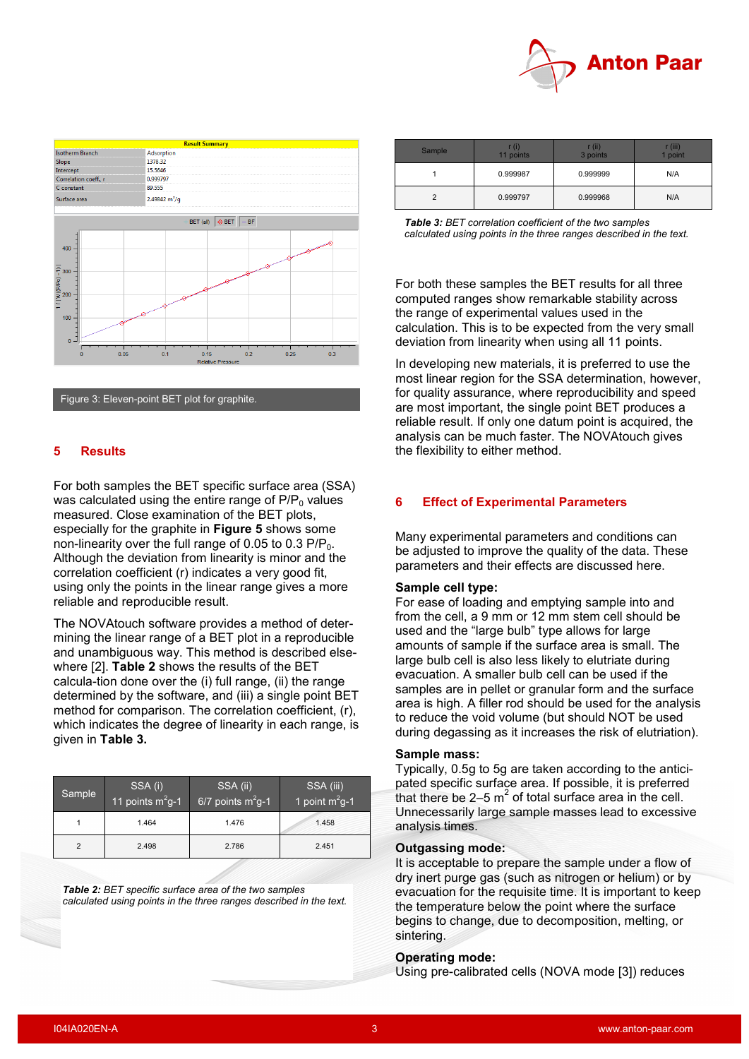

<span id="page-2-1"></span>

Figure 3: Eleven-point BET plot for graphite.

#### **5 Results**

For both samples the BET specific surface area (SSA) was calculated using the entire range of  $P/P<sub>0</sub>$  values measured. Close examination of the BET plots, especially for the graphite in **[Figure 5](#page-2-1)** shows some non-linearity over the full range of 0.05 to 0.3  $P/P_0$ . Although the deviation from linearity is minor and the correlation coefficient (r) indicates a very good fit, using only the points in the linear range gives a more reliable and reproducible result.

The NOVAtouch software provides a method of determining the linear range of a BET plot in a reproducible and unambiguous way. This method is described elsewhere [\[2\]](#page-3-1). **[Table 2](#page-2-2)** shows the results of the BET calcula-tion done over the (i) full range, (ii) the range determined by the software, and (iii) a single point BET method for comparison. The correlation coefficient, (r), which indicates the degree of linearity in each range, is given in **[Table 3.](#page-2-3)**

<span id="page-2-2"></span>

| Sample        | SSA (i)<br>11 points $m^2$ g-1 | SSA (ii)<br>6/7 points $m^2g-1$ | SSA (iii)<br>1 point $m^2$ g-1 |
|---------------|--------------------------------|---------------------------------|--------------------------------|
|               | 1.464                          | 1.476                           | 1.458                          |
| $\mathcal{P}$ | 2.498                          | 2.786                           | 2.451                          |

*Table 2: BET specific surface area of the two samples calculated using points in the three ranges described in the text.*

<span id="page-2-3"></span>

| Sample | r (i)<br>11 points | r (ii)<br>3 points | · (iii)<br><b>1 point</b> |
|--------|--------------------|--------------------|---------------------------|
|        | 0.999987           | 0.999999           | N/A                       |
|        | 0.999797           | 0.999968           | N/A                       |

| <b>Table 3: BET correlation coefficient of the two samples</b>     |
|--------------------------------------------------------------------|
| calculated using points in the three ranges described in the text. |

For both these samples the BET results for all three computed ranges show remarkable stability across the range of experimental values used in the calculation. This is to be expected from the very small deviation from linearity when using all 11 points.

In developing new materials, it is preferred to use the most linear region for the SSA determination, however, for quality assurance, where reproducibility and speed are most important, the single point BET produces a reliable result. If only one datum point is acquired, the analysis can be much faster. The NOVAtouch gives the flexibility to either method.

#### <span id="page-2-0"></span>**6 Effect of Experimental Parameters**

Many experimental parameters and conditions can be adjusted to improve the quality of the data. These parameters and their effects are discussed here.

#### **Sample cell type:**

For ease of loading and emptying sample into and from the cell, a 9 mm or 12 mm stem cell should be used and the "large bulb" type allows for large amounts of sample if the surface area is small. The large bulb cell is also less likely to elutriate during evacuation. A smaller bulb cell can be used if the samples are in pellet or granular form and the surface area is high. A filler rod should be used for the analysis to reduce the void volume (but should NOT be used during degassing as it increases the risk of elutriation).

#### **Sample mass:**

Typically, 0.5g to 5g are taken according to the anticipated specific surface area. If possible, it is preferred that there be 2–5  $m^2$  of total surface area in the cell. Unnecessarily large sample masses lead to excessive analysis times.

#### **Outgassing mode:**

It is acceptable to prepare the sample under a flow of dry inert purge gas (such as nitrogen or helium) or by evacuation for the requisite time. It is important to keep the temperature below the point where the surface begins to change, due to decomposition, melting, or sintering.

#### **Operating mode:**

Using pre-calibrated cells (NOVA mode [\[3\]](#page-3-2)) reduces